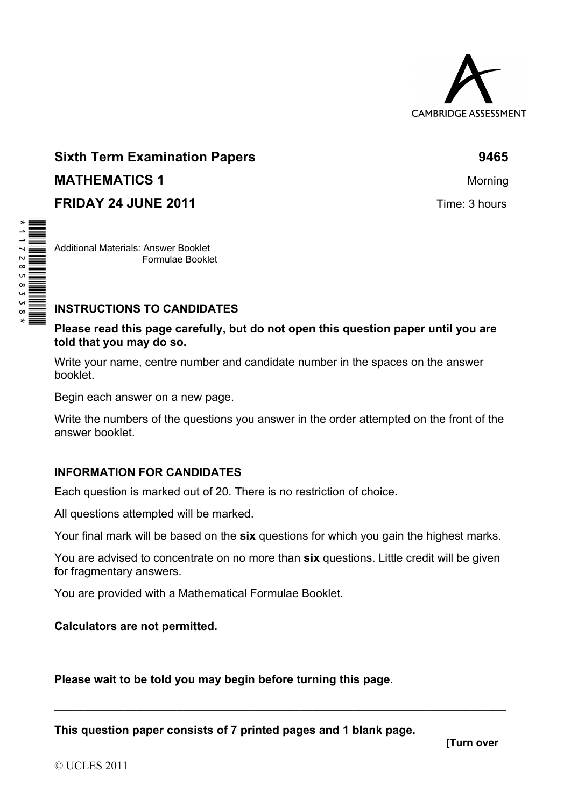

# **Sixth Term Examination Papers 6465 <b>9465 MATHEMATICS 1** Morning **FRIDAY 24 JUNE 2011 Time: 3 hours**

Additional Materials: Answer Booklet Formulae Booklet

、、、、、、。。。。。。。<br>┃┃ ┃┃ ┃┃ ┃┃ ┃┃ ┃┃ ┃┃ ┃┃ ┃┃

#### **INSTRUCTIONS TO CANDIDATES**

**Please read this page carefully, but do not open this question paper until you are told that you may do so.** 

Write your name, centre number and candidate number in the spaces on the answer booklet.

Begin each answer on a new page.

Write the numbers of the questions you answer in the order attempted on the front of the answer booklet.

## **INFORMATION FOR CANDIDATES**

Each question is marked out of 20. There is no restriction of choice.

All questions attempted will be marked.

Your final mark will be based on the **six** questions for which you gain the highest marks.

You are advised to concentrate on no more than **six** questions. Little credit will be given for fragmentary answers.

**\_\_\_\_\_\_\_\_\_\_\_\_\_\_\_\_\_\_\_\_\_\_\_\_\_\_\_\_\_\_\_\_\_\_\_\_\_\_\_\_\_\_\_\_\_\_\_\_\_\_\_\_\_\_\_\_\_\_\_\_\_\_\_\_\_\_\_\_\_\_\_\_\_\_\_\_\_** 

You are provided with a Mathematical Formulae Booklet.

## **Calculators are not permitted.**

**Please wait to be told you may begin before turning this page.** 

**This question paper consists of 7 printed pages and 1 blank page.**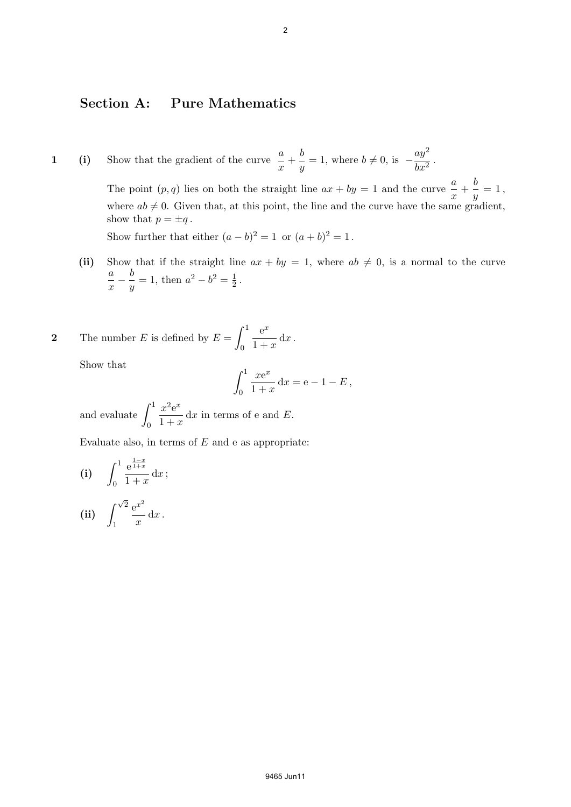#### **Section A: Pure Mathematics**

**1** (i) Show that the gradient of the curve  $\frac{a}{x} + \frac{b}{y}$  $\frac{b}{y} = 1$ , where  $b \neq 0$ , is *ay*<sup>2</sup>  $\frac{dy}{dx^2}$ .

> The point  $(p, q)$  lies on both the straight line  $ax + by = 1$  and the curve  $\frac{a}{x} + \frac{b}{y}$  $\frac{0}{y}=1,$ where  $ab \neq 0$ . Given that, at this point, the line and the curve have the same gradient, show that  $p = \pm q$ .

Show further that either  $(a - b)^2 = 1$  or  $(a + b)^2 = 1$ .

(ii) Show that if the straight line  $ax + by = 1$ , where  $ab \neq 0$ , is a normal to the curve *a x − b*  $\frac{b}{y} = 1$ , then  $a^2 - b^2 = \frac{1}{2}$  $\frac{1}{2}$ .

**2** The number *E* is defined by 
$$
E = \int_0^1 \frac{e^x}{1+x} dx
$$
.

Show that

$$
\int_0^1 \frac{xe^x}{1+x} dx = e - 1 - E,
$$

and evaluate  $\int_1^1$ 0  $x^2 e^x$  $\frac{x}{1+x}$  dx in terms of e and E.

Evaluate also, in terms of *E* and e as appropriate:

(i) 
$$
\int_0^1 \frac{e^{\frac{1-x}{1+x}}}{1+x} dx
$$
;  
\n(ii)  $\int_1^{\sqrt{2}} \frac{e^{x^2}}{x} dx$ .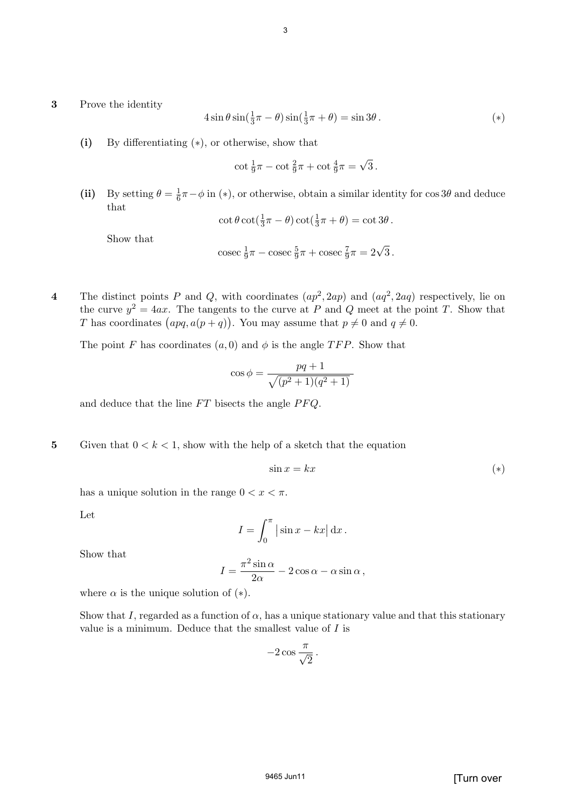#### **3** Prove the identity

$$
4\sin\theta\sin(\frac{1}{3}\pi-\theta)\sin(\frac{1}{3}\pi+\theta)=\sin 3\theta.
$$
 (\*)

**(i)** By differentiating (*∗*), or otherwise, show that

$$
\cot \frac{1}{9}\pi - \cot \frac{2}{9}\pi + \cot \frac{4}{9}\pi = \sqrt{3}.
$$

(ii) By setting  $\theta = \frac{1}{6}$  $\frac{1}{6}\pi - \phi$  in (\*), or otherwise, obtain a similar identity for  $\cos 3\theta$  and deduce that

$$
\cot \theta \cot(\frac{1}{3}\pi - \theta) \cot(\frac{1}{3}\pi + \theta) = \cot 3\theta.
$$

Show that

$$
\csc \frac{1}{9}\pi - \csc \frac{5}{9}\pi + \csc \frac{7}{9}\pi = 2\sqrt{3}.
$$

**4** The distinct points *P* and *Q*, with coordinates  $(ap^2, 2ap)$  and  $(aq^2, 2aq)$  respectively, lie on the curve  $y^2 = 4ax$ . The tangents to the curve at *P* and *Q* meet at the point *T*. Show that *T* has coordinates  $(apq, a(p+q))$ . You may assume that  $p \neq 0$  and  $q \neq 0$ .

The point *F* has coordinates  $(a, 0)$  and  $\phi$  is the angle *TFP*. Show that

$$
\cos \phi = \frac{pq+1}{\sqrt{(p^2+1)(q^2+1)}}
$$

and deduce that the line *F T* bisects the angle *P F Q*.

**5** Given that  $0 < k < 1$ , show with the help of a sketch that the equation

$$
\sin x = kx \tag{(*)}
$$

has a unique solution in the range  $0 < x < \pi$ .

Let

$$
I = \int_0^\pi |\sin x - kx| \, \mathrm{d}x \, .
$$

Show that

$$
I = \frac{\pi^2 \sin \alpha}{2\alpha} - 2\cos \alpha - \alpha \sin \alpha,
$$

where  $\alpha$  is the unique solution of  $(*).$ 

Show that *I*, regarded as a function of  $\alpha$ , has a unique stationary value and that this stationary value is a minimum. Deduce that the smallest value of *I* is

$$
-2\cos\frac{\pi}{\sqrt{2}}.
$$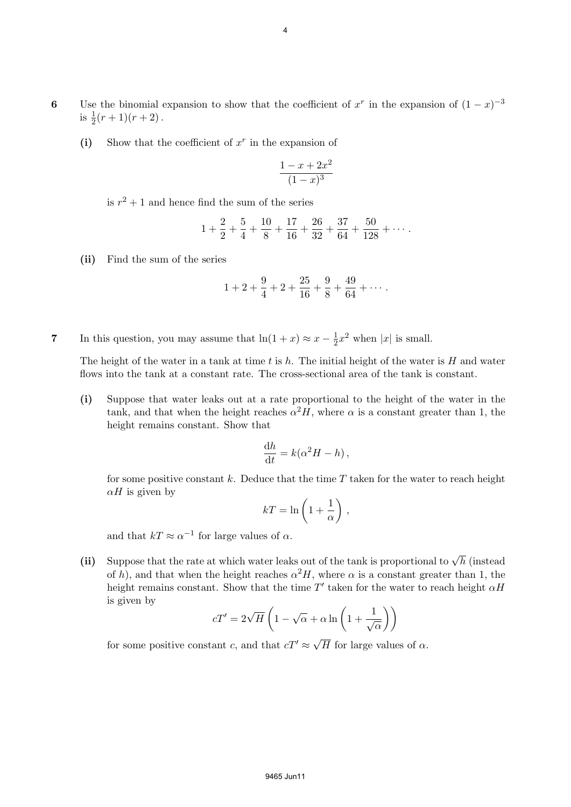- 6 Use the binomial expansion to show that the coefficient of  $x^r$  in the expansion of  $(1-x)^{-3}$ is  $\frac{1}{2}(r+1)(r+2)$ .
	- (i) Show that the coefficient of  $x^r$  in the expansion of

$$
\frac{1-x+2x^2}{(1-x)^3}
$$

is  $r^2 + 1$  and hence find the sum of the series

$$
1 + \frac{2}{2} + \frac{5}{4} + \frac{10}{8} + \frac{17}{16} + \frac{26}{32} + \frac{37}{64} + \frac{50}{128} + \cdots
$$

**(ii)** Find the sum of the series

$$
1+2+\frac{9}{4}+2+\frac{25}{16}+\frac{9}{8}+\frac{49}{64}+\cdots.
$$

**7** In this question, you may assume that  $\ln(1+x) \approx x - \frac{1}{2}$  $\frac{1}{2}x^2$  when |*x*| is small.

The height of the water in a tank at time *t* is *h*. The initial height of the water is *H* and water flows into the tank at a constant rate. The cross-sectional area of the tank is constant.

**(i)** Suppose that water leaks out at a rate proportional to the height of the water in the tank, and that when the height reaches  $\alpha^2 H$ , where  $\alpha$  is a constant greater than 1, the height remains constant. Show that

$$
\frac{\mathrm{d}h}{\mathrm{d}t} = k(\alpha^2 H - h)\,,
$$

for some positive constant *k*. Deduce that the time *T* taken for the water to reach height  $\alpha$ *H* is given by

$$
kT=\ln\left(1+\frac{1}{\alpha}\right)\,,
$$

and that  $kT \approx \alpha^{-1}$  for large values of  $\alpha$ .

(ii) Suppose that the rate at which water leaks out of the tank is proportional to  $\sqrt{h}$  (instead of *h*), and that when the height reaches  $\alpha^2 H$ , where  $\alpha$  is a constant greater than 1, the height remains constant. Show that the time  $T'$  taken for the water to reach height  $\alpha H$ is given by

$$
cT' = 2\sqrt{H}\left(1 - \sqrt{\alpha} + \alpha \ln\left(1 + \frac{1}{\sqrt{\alpha}}\right)\right)
$$

for some positive constant *c*, and that  $cT' \approx \sqrt{H}$  for large values of  $\alpha$ .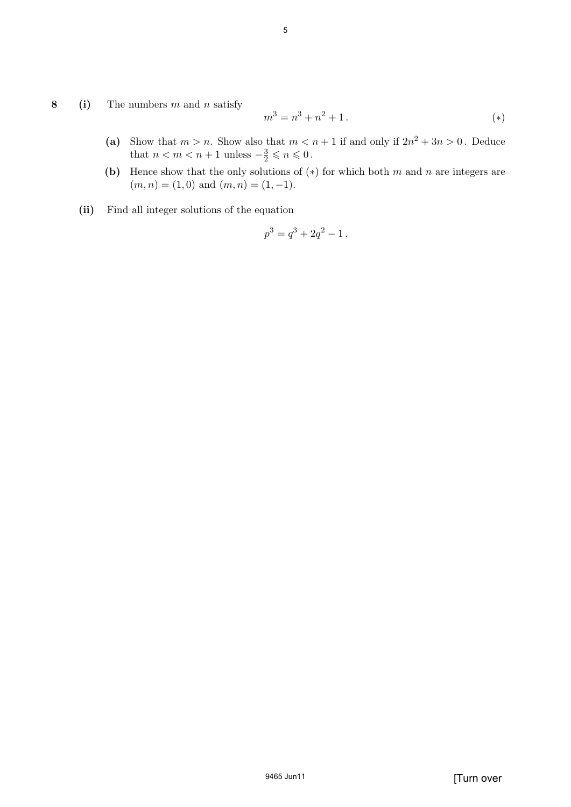**8 (i)** The numbers *m* and *n* satisfy

$$
m^3 = n^3 + n^2 + 1.
$$
 (\*)

- (a) Show that  $m > n$ . Show also that  $m < n + 1$  if and only if  $2n^2 + 3n > 0$ . Deduce that  $n < m < n + 1$  unless  $-\frac{3}{2} \leq n \leq 0$ .
- **(b)** Hence show that the only solutions of (*∗*) for which both *m* and *n* are integers are  $(m, n) = (1, 0)$  and  $(m, n) = (1, -1)$ .
- **(ii)** Find all integer solutions of the equation

$$
p^3 = q^3 + 2q^2 - 1.
$$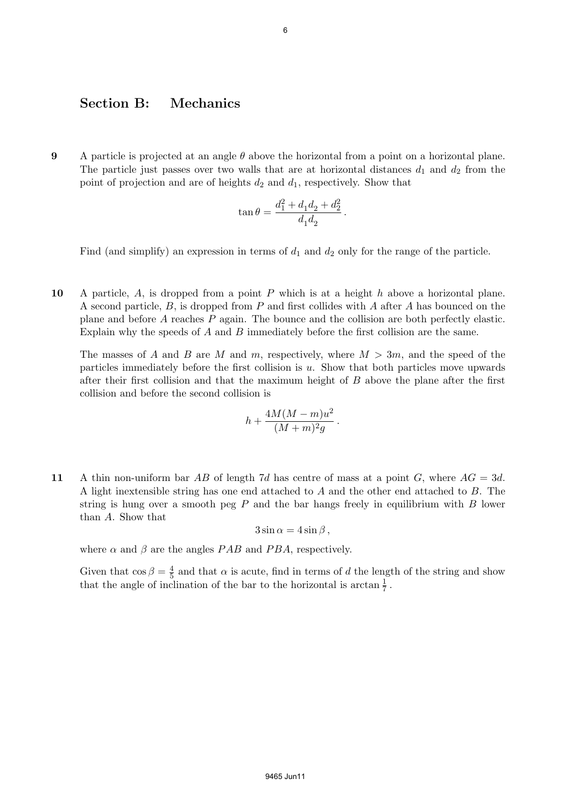#### **Section B: Mechanics**

**9** A particle is projected at an angle *θ* above the horizontal from a point on a horizontal plane. The particle just passes over two walls that are at horizontal distances  $d_1$  and  $d_2$  from the point of projection and are of heights *d*<sup>2</sup> and *d*1, respectively. Show that

$$
\tan \theta = \frac{d_1^2 + d_1 d_2 + d_2^2}{d_1 d_2} \, .
$$

Find (and simplify) an expression in terms of  $d_1$  and  $d_2$  only for the range of the particle.

**10** A particle, *A*, is dropped from a point *P* which is at a height *h* above a horizontal plane. A second particle, *B*, is dropped from *P* and first collides with *A* after *A* has bounced on the plane and before *A* reaches *P* again. The bounce and the collision are both perfectly elastic. Explain why the speeds of *A* and *B* immediately before the first collision are the same.

The masses of *A* and *B* are *M* and *m*, respectively, where *M >* 3*m*, and the speed of the particles immediately before the first collision is *u*. Show that both particles move upwards after their first collision and that the maximum height of *B* above the plane after the first collision and before the second collision is

$$
h + \frac{4M(M-m)u^2}{(M+m)^2g}.
$$

**11** A thin non-uniform bar *AB* of length 7*d* has centre of mass at a point *G*, where *AG* = 3*d*. A light inextensible string has one end attached to *A* and the other end attached to *B*. The string is hung over a smooth peg *P* and the bar hangs freely in equilibrium with *B* lower than *A*. Show that

$$
3\sin\alpha = 4\sin\beta,
$$

where  $\alpha$  and  $\beta$  are the angles *PAB* and *PBA*, respectively.

Given that  $\cos \beta = \frac{4}{5}$  $\frac{4}{5}$  and that  $\alpha$  is acute, find in terms of *d* the length of the string and show that the angle of inclination of the bar to the horizontal is arctan  $\frac{1}{7}$ .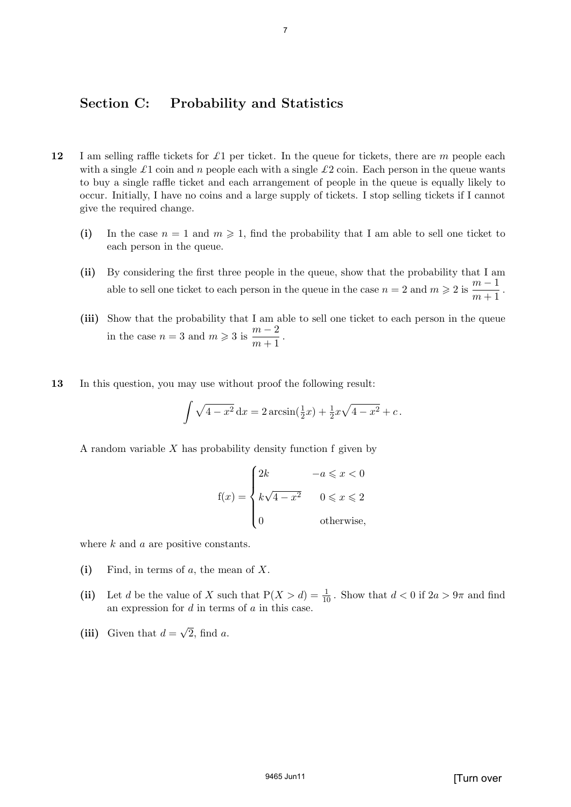#### **Section C: Probability and Statistics**

- **12** I am selling raffle tickets for *£*1 per ticket. In the queue for tickets, there are *m* people each with a single  $\pounds$ 1 coin and *n* people each with a single  $\pounds$ 2 coin. Each person in the queue wants to buy a single raffle ticket and each arrangement of people in the queue is equally likely to occur. Initially, I have no coins and a large supply of tickets. I stop selling tickets if I cannot give the required change.
	- (i) In the case  $n = 1$  and  $m \geqslant 1$ , find the probability that I am able to sell one ticket to each person in the queue.
	- **(ii)** By considering the first three people in the queue, show that the probability that I am able to sell one ticket to each person in the queue in the case  $n = 2$  and  $m \geqslant 2$  is  $\frac{m-1}{m+1}$  $\frac{m}{m+1}$ .
	- **(iii)** Show that the probability that I am able to sell one ticket to each person in the queue in the case  $n = 3$  and  $m \geqslant 3$  is  $\frac{m-2}{m+1}$  $\frac{m}{m+1}$ .
- **13** In this question, you may use without proof the following result:

$$
\int \sqrt{4 - x^2} \, dx = 2 \arcsin(\frac{1}{2}x) + \frac{1}{2}x\sqrt{4 - x^2} + c.
$$

A random variable *X* has probability density function f given by

$$
f(x) = \begin{cases} 2k & -a \leq x < 0 \\ k\sqrt{4 - x^2} & 0 \leq x \leq 2 \\ 0 & \text{otherwise,} \end{cases}
$$

where *k* and *a* are positive constants.

- **(i)** Find, in terms of *a*, the mean of *X*.
- (ii) Let *d* be the value of *X* such that  $P(X > d) = \frac{1}{10}$ . Show that  $d < 0$  if  $2a > 9\pi$  and find an expression for *d* in terms of *a* in this case.
- (iii) Given that  $d = \sqrt{2}$ , find *a*.